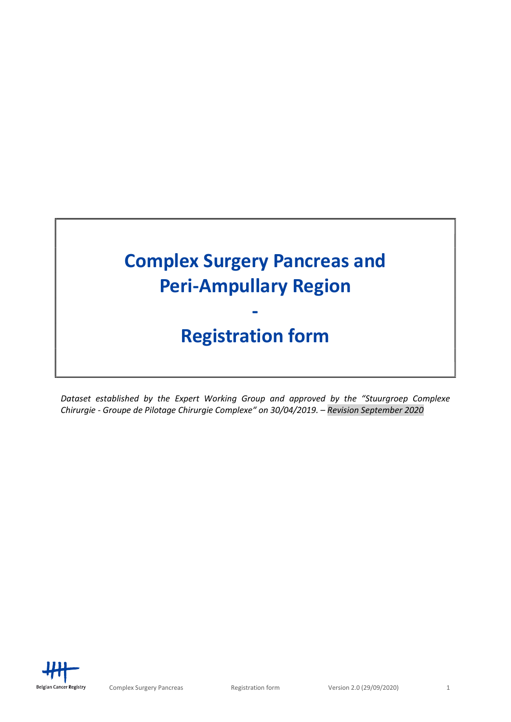# Complex Surgery Pancreas and Peri-Ampullary Region -

# Registration form

Dataset established by the Expert Working Group and approved by the "Stuurgroep Complexe Chirurgie - Groupe de Pilotage Chirurgie Complexe" on 30/04/2019. – Revision September 2020

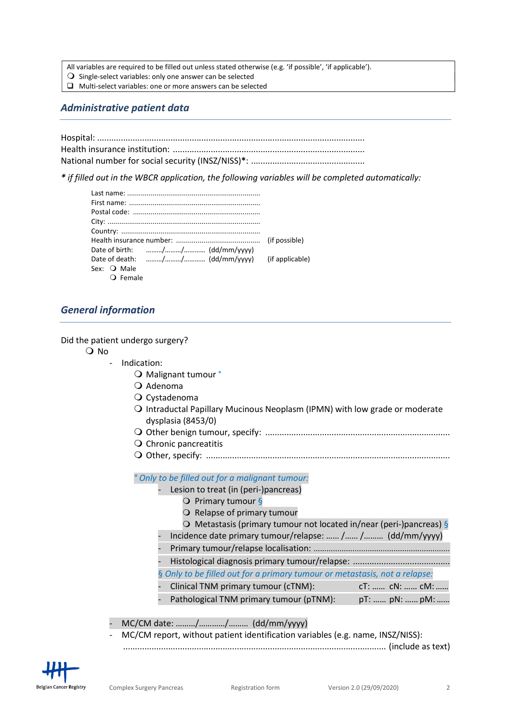All variables are required to be filled out unless stated otherwise (e.g. 'if possible', 'if applicable').

- $\overline{O}$  Single-select variables: only one answer can be selected
- $\Box$  Multi-select variables: one or more answers can be selected

# Administrative patient data

\* if filled out in the WBCR application, the following variables will be completed automatically:

| Sex: <b>O</b> Male |  |
|--------------------|--|
| <b>Q</b> Female    |  |

# General information

Did the patient undergo surgery?

O No

- Indication:
	- O Malignant tumour °
	- $Q$  Adenoma
	- O Cystadenoma
	- Intraductal Papillary Mucinous Neoplasm (IPMN) with low grade or moderate dysplasia (8453/0)
	- Other benign tumour, specify: ..............................................................................
	- $\bigcirc$  Chronic pancreatitis
	- Other, specify: .......................................................................................................

° Only to be filled out for a malignant tumour:

- Lesion to treat (in (peri-)pancreas)
	- $\overline{Q}$  Primary tumour §
	- O Relapse of primary tumour
	- $\overline{Q}$  Metastasis (primary tumour not located in/near (peri-)pancreas) §
- Incidence date primary tumour/relapse: …… /…… /……… (dd/mm/yyyy)
- Primary tumour/relapse localisation: ...............................................................
- Histological diagnosis primary tumour/relapse: .........................................
- § Only to be filled out for a primary tumour or metastasis, not a relapse:
- Clinical TNM primary tumour (cTNM): cT: …… cN: …… cM:……
- Pathological TNM primary tumour (pTNM): pT: ...... pN: ...... pM: ......

- MC/CM date: ………/…………/……… (dd/mm/yyyy)

- MC/CM report, without patient identification variables (e.g. name, INSZ/NISS): ............................................................................................................... (include as text)

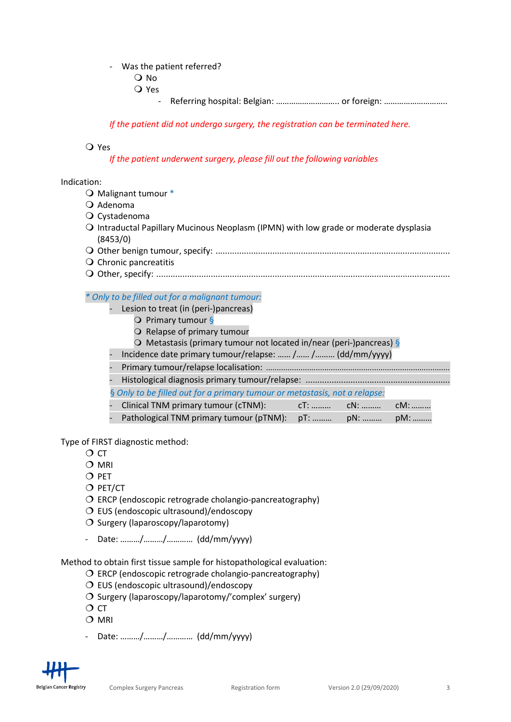### Was the patient referred?

- O No
- Yes
	- Referring hospital: Belgian: …………………………… or foreign: ……………………………

If the patient did not undergo surgery, the registration can be terminated here.

### Yes

If the patient underwent surgery, please fill out the following variables

#### Indication:

- O Malignant tumour \*
- $Q$  Adenoma
- Cystadenoma
- Intraductal Papillary Mucinous Neoplasm (IPMN) with low grade or moderate dysplasia (8453/0)
- Other benign tumour, specify: ...................................................................................................
- $\bigcirc$  Chronic pancreatitis
- Other, specify: ............................................................................................................................

#### \* Only to be filled out for a malignant tumour:

- Lesion to treat (in (peri-)pancreas)
	- $\overline{Q}$  Primary tumour §
	- O Relapse of primary tumour
	- $\overline{Q}$  Metastasis (primary tumour not located in/near (peri-)pancreas) §
	- Incidence date primary tumour/relapse: …… /…… /……… (dd/mm/yyyy)
	- Primary tumour/relapse localisation: .....................................................................................
- Histological diagnosis primary tumour/relapse: .............................................................
	- § Only to be filled out for a primary tumour or metastasis, not a relapse:
	- Clinical TNM primary tumour (cTNM): cT: .......... cN: .......... cM: ......... Pathological TNM primary tumour (pTNM): pT: ……… pN: ……… pM: ………

Type of FIRST diagnostic method:

- $\overline{O}$  CT
- O MRI
- O PET
- $O$  PET/CT
- $\overline{O}$  ERCP (endoscopic retrograde cholangio-pancreatography)
- O EUS (endoscopic ultrasound)/endoscopy
- $O$  Surgery (laparoscopy/laparotomy)
- Date: ………/………/………… (dd/mm/yyyy)

Method to obtain first tissue sample for histopathological evaluation:

- $\overline{O}$  ERCP (endoscopic retrograde cholangio-pancreatography)
- $\overline{O}$  EUS (endoscopic ultrasound)/endoscopy
- $\overline{O}$  Surgery (laparoscopy/laparotomy/'complex' surgery)
- $\overline{O}$  CT
- O MRI
- Date: ………/………/………… (dd/mm/yyyy)

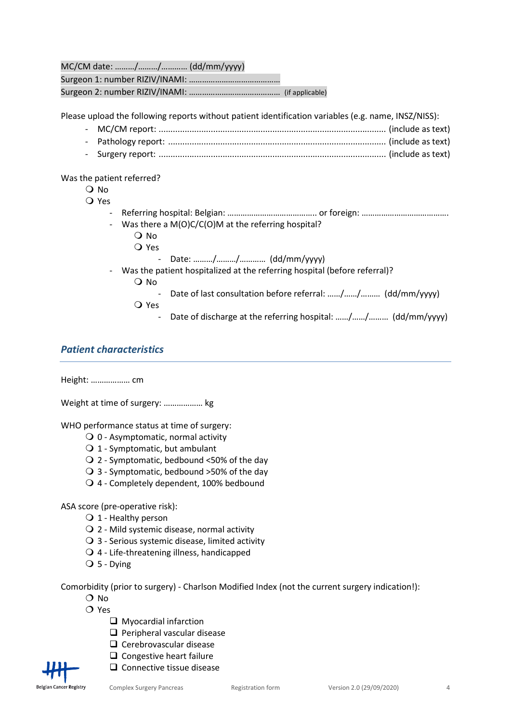MC/CM date: ………/………/………… (dd/mm/yyyy) Surgeon 1: number RIZIV/INAMI: …………………………………… Surgeon 2: number RIZIV/INAMI: …………………………………… (if applicable)

Please upload the following reports without patient identification variables (e.g. name, INSZ/NISS):

- MC/CM report: ................................................................................................ (include as text) - Pathology report: ............................................................................................ (include as text)
- Surgery report: ................................................................................................ (include as text)

Was the patient referred?

- O No
- Yes
	- Referring hospital: Belgian: …………………………………………… or foreign: ……………………………………………………… Was there a  $M(O)C/C(O)M$  at the referring hospital?
		- O No
			- Yes
				- Date: ………/………/………… (dd/mm/yyyy)
	- Was the patient hospitalized at the referring hospital (before referral)?
		- O No
			- Date of last consultation before referral: ……/……/……… (dd/mm/yyyy)
		- Yes
			- Date of discharge at the referring hospital: ……/……/……… (dd/mm/yyyy)

# Patient characteristics

Height: ……………… cm

Weight at time of surgery: ……………… kg

WHO performance status at time of surgery:

- $\bigcirc$  0 Asymptomatic, normal activity
- $\bigcirc$  1 Symptomatic, but ambulant
- $\bigcirc$  2 Symptomatic, bedbound <50% of the day
- 3 Symptomatic, bedbound >50% of the day
- 4 Completely dependent, 100% bedbound

## ASA score (pre-operative risk):

- $\bigcirc$  1 Healthy person
- 2 Mild systemic disease, normal activity
- $\bigcirc$  3 Serious systemic disease, limited activity
- 4 Life-threatening illness, handicapped
- $Q$  5 Dying

Comorbidity (prior to surgery) - Charlson Modified Index (not the current surgery indication!):

- O No
- $\Omega$  Yes
	- **Q** Myocardial infarction
	- $\Box$  Peripheral vascular disease
	- $\Box$  Cerebrovascular disease
	- $\Box$  Congestive heart failure
	- $\square$  Connective tissue disease

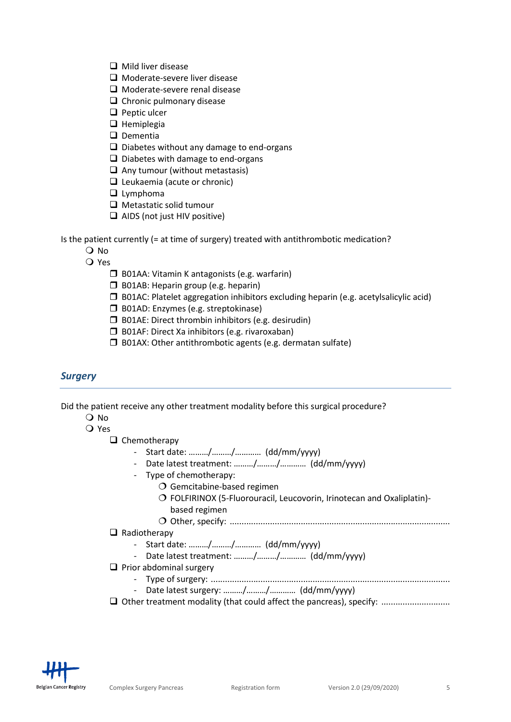- $\Box$  Mild liver disease
- **Q** Moderate-severe liver disease
- $\Box$  Moderate-severe renal disease
- $\Box$  Chronic pulmonary disease
- $\Box$  Peptic ulcer
- $\Box$  Hemiplegia
- $\Box$  Dementia
- $\Box$  Diabetes without any damage to end-organs
- $\Box$  Diabetes with damage to end-organs
- $\Box$  Any tumour (without metastasis)
- $\Box$  Leukaemia (acute or chronic)
- $\Box$  Lymphoma
- $\Box$  Metastatic solid tumour
- $\Box$  AIDS (not just HIV positive)

Is the patient currently (= at time of surgery) treated with antithrombotic medication?

- O No
- Yes
	- $\Box$  B01AA: Vitamin K antagonists (e.g. warfarin)
	- **B01AB:** Heparin group (e.g. heparin)
	- $\square$  B01AC: Platelet aggregation inhibitors excluding heparin (e.g. acetylsalicylic acid)
	- **B01AD:** Enzymes (e.g. streptokinase)
	- $\Box$  B01AE: Direct thrombin inhibitors (e.g. desirudin)
	- □ B01AF: Direct Xa inhibitors (e.g. rivaroxaban)
	- $\square$  B01AX: Other antithrombotic agents (e.g. dermatan sulfate)

## **Surgery**

Did the patient receive any other treatment modality before this surgical procedure?

- $\Omega$  No
- O Yes

 $\Box$  Chemotherapy

- Start date: ………/………/………… (dd/mm/yyyy)
- Date latest treatment: ………/………/………… (dd/mm/yyyy)
- Type of chemotherapy:
	- O Gemcitabine-based regimen
	- FOLFIRINOX (5-Fluorouracil, Leucovorin, Irinotecan and Oxaliplatin) based regimen
	-
	- Other, specify: .............................................................................................
- $\Box$  Radiotherapy
	- Start date: ………/………/………… (dd/mm/yyyy)
	- Date latest treatment: ………/………/………… (dd/mm/yyyy)
- $\Box$  Prior abdominal surgery
	- Type of surgery: .....................................................................................................
	- Date latest surgery: ………/………/………… (dd/mm/yyyy)
- Other treatment modality (that could affect the pancreas), specify: .............................

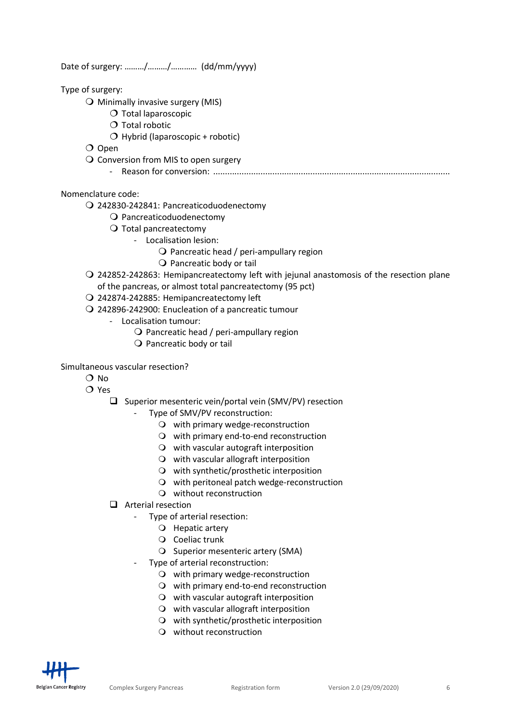Date of surgery: ………/………/………… (dd/mm/yyyy)

Type of surgery:

- $\bigcirc$  Minimally invasive surgery (MIS)
	- $\bigcirc$  Total laparoscopic
	- $\bigcirc$  Total robotic
	- $O$  Hybrid (laparoscopic + robotic)

O Open

- Q Conversion from MIS to open surgery
	- Reason for conversion: ....................................................................................................

### Nomenclature code:

242830-242841: Pancreaticoduodenectomy

- O Pancreaticoduodenectomy
- O Total pancreatectomy
	- Localisation lesion:
		- $\Omega$  Pancreatic head / peri-ampullary region
		- O Pancreatic body or tail
- 242852-242863: Hemipancreatectomy left with jejunal anastomosis of the resection plane of the pancreas, or almost total pancreatectomy (95 pct)
- 242874-242885: Hemipancreatectomy left
- 242896-242900: Enucleation of a pancreatic tumour
	- Localisation tumour:
		- $\bigcirc$  Pancreatic head / peri-ampullary region
		- $\bigcirc$  Pancreatic body or tail

#### Simultaneous vascular resection?

- O No
- O Yes
	- $\square$  Superior mesenteric vein/portal vein (SMV/PV) resection

## Type of SMV/PV reconstruction:

- $\bigcirc$  with primary wedge-reconstruction
- with primary end-to-end reconstruction
- $\Omega$  with vascular autograft interposition
- $\Omega$  with vascular allograft interposition
- with synthetic/prosthetic interposition
- O with peritoneal patch wedge-reconstruction
- without reconstruction
- $\Box$  Arterial resection
	- Type of arterial resection:
		- O Hepatic artery
		- O Coeliac trunk
		- O Superior mesenteric artery (SMA)
	- Type of arterial reconstruction:
		- $\bigcirc$  with primary wedge-reconstruction
		- with primary end-to-end reconstruction
		- $\Omega$  with vascular autograft interposition
		- $\Omega$  with vascular allograft interposition
		- $\Omega$  with synthetic/prosthetic interposition
		- without reconstruction

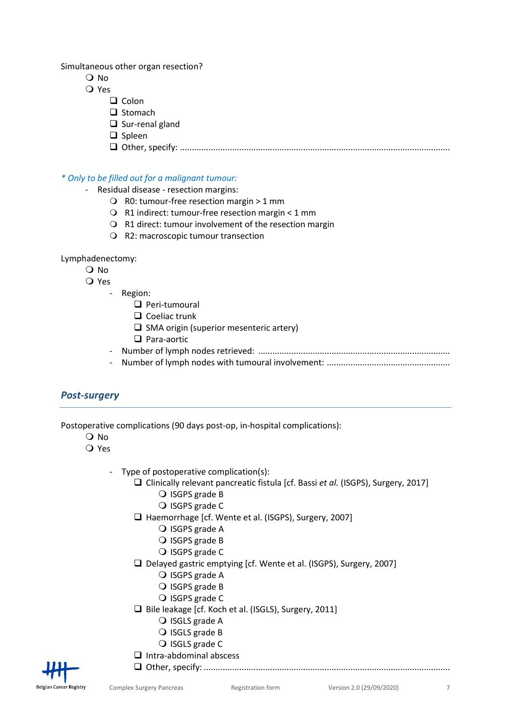Simultaneous other organ resection?

- O No
- Yes
	- $\Box$  Colon
	- $\Box$  Stomach
	- $\square$  Sur-renal gland
	- $\Box$  Spleen
	- Other, specify: ..................................................................................................................

\* Only to be filled out for a malignant tumour:

- Residual disease resection margins:
	- R0: tumour-free resection margin > 1 mm
	- R1 indirect: tumour-free resection margin < 1 mm
	- R1 direct: tumour involvement of the resection margin
	- R2: macroscopic tumour transection

### Lymphadenectomy:

- $\Omega$  No
- Yes
	- Region:
		- **Q** Peri-tumoural
		- $\Box$  Coeliac trunk
		- $\square$  SMA origin (superior mesenteric artery)
		- **Q** Para-aortic
	- Number of lymph nodes retrieved: .................................................................................
	- Number of lymph nodes with tumoural involvement: ....................................................

# Post-surgery

Postoperative complications (90 days post-op, in-hospital complications):

- $\Omega$  No
- Yes
	- Type of postoperative complication(s):
		- $\Box$  Clinically relevant pancreatic fistula [cf. Bassi et al. (ISGPS), Surgery, 2017]
			- O ISGPS grade B
			- O ISGPS grade C
			- □ Haemorrhage [cf. Wente et al. (ISGPS), Surgery, 2007]
				- O ISGPS grade A
				- O ISGPS grade B
				- O ISGPS grade C
		- Delayed gastric emptying [cf. Wente et al. (ISGPS), Surgery, 2007]
			- Q ISGPS grade A
			- O ISGPS grade B
			- O ISGPS grade C
		- □ Bile leakage [cf. Koch et al. (ISGLS), Surgery, 2011]
			- O ISGLS grade A
			- O ISGLS grade B
			- O ISGLS grade C
		- $\Box$  Intra-abdominal abscess



Other, specify: ........................................................................................................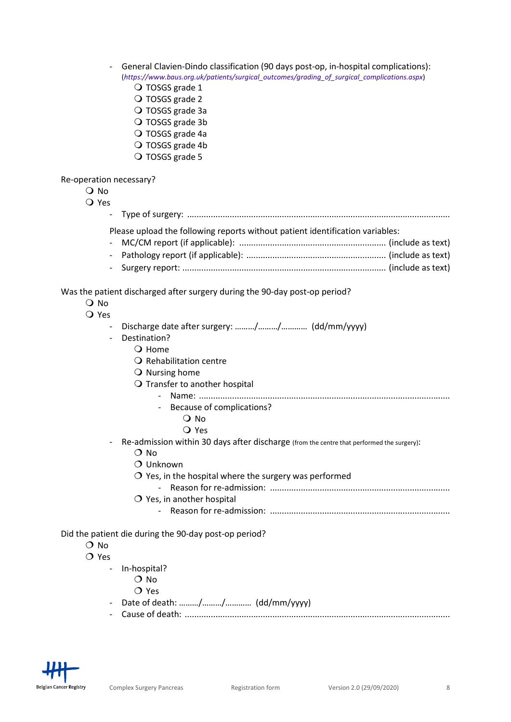- General Clavien-Dindo classification (90 days post-op, in-hospital complications): (https://www.baus.org.uk/patients/surgical\_outcomes/grading\_of\_surgical\_complications.aspx)
	- O TOSGS grade 1
	- O TOSGS grade 2
	- O TOSGS grade 3a
	- O TOSGS grade 3b
	- O TOSGS grade 4a
	- O TOSGS grade 4b
	- O TOSGS grade 5

Re-operation necessary?

O No Yes - Type of surgery: ...............................................................................................................

Please upload the following reports without patient identification variables:

Was the patient discharged after surgery during the 90-day post-op period?

- O No
- Yes
	- Discharge date after surgery: ........./........./........... (dd/mm/yyyy)
	- Destination?
		- Q Home
		- $\Omega$  Rehabilitation centre
		- $\bigcirc$  Nursing home
		- O Transfer to another hospital
			- Name: ..........................................................................................................
				- Because of complications?
					- O No
					- Yes
	- Re-admission within 30 days after discharge (from the centre that performed the surgery):
		- O No
		- O Unknown
		- $\overline{O}$  Yes, in the hospital where the surgery was performed
			- Reason for re-admission: ............................................................................
		- O Yes, in another hospital
			- Reason for re-admission: ............................................................................

Did the patient die during the 90-day post-op period?

- O No
- O Yes
	- In-hospital?
		- O No
		- O Yes
	- Date of death: ………/………/………… (dd/mm/yyyy)
	- Cause of death: ................................................................................................................

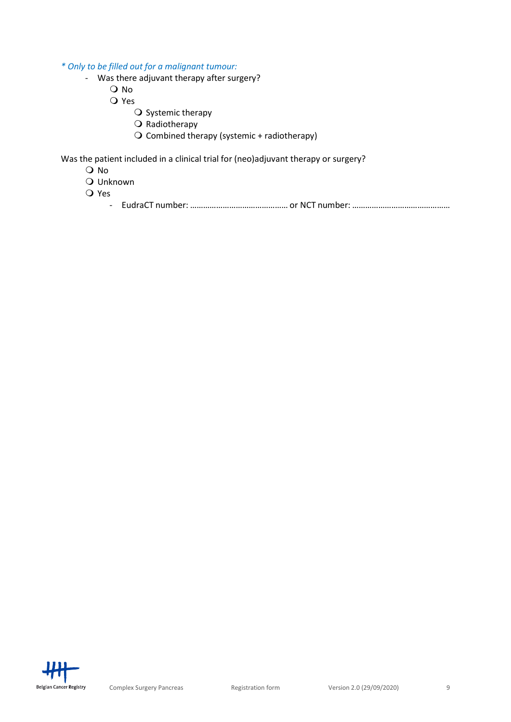\* Only to be filled out for a malignant tumour:

- Was there adjuvant therapy after surgery?
	- O No
	- Q Yes
		- $\overline{O}$  Systemic therapy
		- $\bigcirc$  Radiotherapy
		- $\overline{O}$  Combined therapy (systemic + radiotherapy)

Was the patient included in a clinical trial for (neo)adjuvant therapy or surgery?

- O No
- Unknown
- Yes

- EudraCT number: ……………………………………… or NCT number: ………………………………………

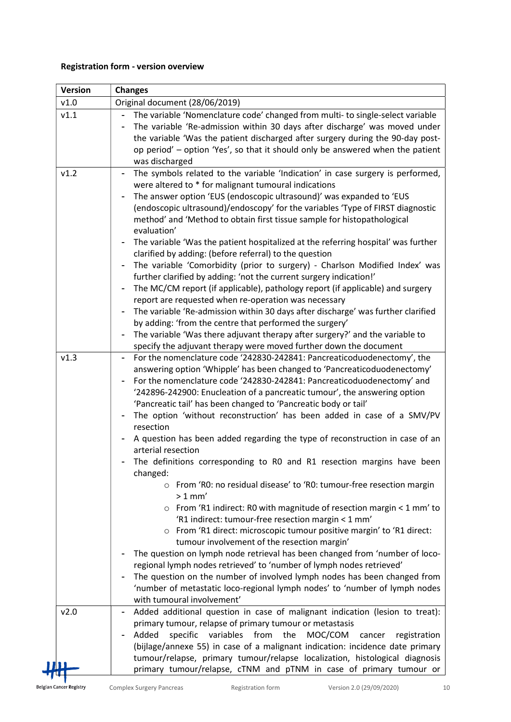# Registration form - version overview

| <b>Version</b> | <b>Changes</b>                                                                                                                                                                                                                                                                                                                                                                                                                                                                                                                                                                                                                                                                                                                                                                                                                                                                                                                                                                                                                                                                                                                                                                                                                                                                                                                                                                    |
|----------------|-----------------------------------------------------------------------------------------------------------------------------------------------------------------------------------------------------------------------------------------------------------------------------------------------------------------------------------------------------------------------------------------------------------------------------------------------------------------------------------------------------------------------------------------------------------------------------------------------------------------------------------------------------------------------------------------------------------------------------------------------------------------------------------------------------------------------------------------------------------------------------------------------------------------------------------------------------------------------------------------------------------------------------------------------------------------------------------------------------------------------------------------------------------------------------------------------------------------------------------------------------------------------------------------------------------------------------------------------------------------------------------|
| v1.0           | Original document (28/06/2019)                                                                                                                                                                                                                                                                                                                                                                                                                                                                                                                                                                                                                                                                                                                                                                                                                                                                                                                                                                                                                                                                                                                                                                                                                                                                                                                                                    |
| v1.1           | The variable 'Nomenclature code' changed from multi- to single-select variable<br>The variable 'Re-admission within 30 days after discharge' was moved under<br>the variable 'Was the patient discharged after surgery during the 90-day post-<br>op period' - option 'Yes', so that it should only be answered when the patient<br>was discharged                                                                                                                                                                                                                                                                                                                                                                                                                                                                                                                                                                                                                                                                                                                                                                                                                                                                                                                                                                                                                                |
| v1.2           | The symbols related to the variable 'Indication' in case surgery is performed,<br>were altered to * for malignant tumoural indications<br>The answer option 'EUS (endoscopic ultrasound)' was expanded to 'EUS<br>(endoscopic ultrasound)/endoscopy' for the variables 'Type of FIRST diagnostic<br>method' and 'Method to obtain first tissue sample for histopathological<br>evaluation'<br>The variable 'Was the patient hospitalized at the referring hospital' was further<br>clarified by adding: (before referral) to the question<br>The variable 'Comorbidity (prior to surgery) - Charlson Modified Index' was<br>further clarified by adding: 'not the current surgery indication!'<br>The MC/CM report (if applicable), pathology report (if applicable) and surgery<br>report are requested when re-operation was necessary<br>The variable 'Re-admission within 30 days after discharge' was further clarified<br>by adding: 'from the centre that performed the surgery'<br>The variable 'Was there adjuvant therapy after surgery?' and the variable to<br>specify the adjuvant therapy were moved further down the document                                                                                                                                                                                                                                      |
| v1.3           | For the nomenclature code '242830-242841: Pancreaticoduodenectomy', the<br>$\blacksquare$<br>answering option 'Whipple' has been changed to 'Pancreaticoduodenectomy'<br>For the nomenclature code '242830-242841: Pancreaticoduodenectomy' and<br>'242896-242900: Enucleation of a pancreatic tumour', the answering option<br>'Pancreatic tail' has been changed to 'Pancreatic body or tail'<br>The option 'without reconstruction' has been added in case of a SMV/PV<br>resection<br>A question has been added regarding the type of reconstruction in case of an<br>arterial resection<br>The definitions corresponding to RO and R1 resection margins have been<br>changed:<br>From 'RO: no residual disease' to 'RO: tumour-free resection margin<br>$>1$ mm'<br>$\circ$ From 'R1 indirect: R0 with magnitude of resection margin < 1 mm' to<br>'R1 indirect: tumour-free resection margin < 1 mm'<br>o From 'R1 direct: microscopic tumour positive margin' to 'R1 direct:<br>tumour involvement of the resection margin'<br>The question on lymph node retrieval has been changed from 'number of loco-<br>regional lymph nodes retrieved' to 'number of lymph nodes retrieved'<br>The question on the number of involved lymph nodes has been changed from<br>'number of metastatic loco-regional lymph nodes' to 'number of lymph nodes<br>with tumoural involvement' |
| v2.0           | Added additional question in case of malignant indication (lesion to treat):<br>primary tumour, relapse of primary tumour or metastasis<br>variables<br>from<br>the<br>Added<br>specific<br>MOC/COM<br>registration<br>cancer<br>(bijlage/annexe 55) in case of a malignant indication: incidence date primary<br>tumour/relapse, primary tumour/relapse localization, histological diagnosis<br>primary tumour/relapse, cTNM and pTNM in case of primary tumour or                                                                                                                                                                                                                                                                                                                                                                                                                                                                                                                                                                                                                                                                                                                                                                                                                                                                                                               |